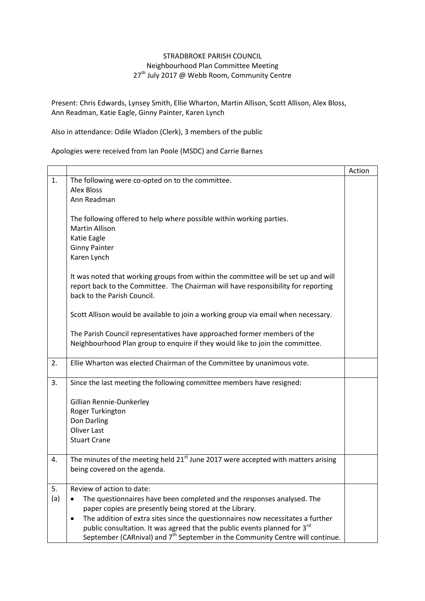## STRADBROKE PARISH COUNCIL Neighbourhood Plan Committee Meeting 27<sup>th</sup> July 2017 @ Webb Room, Community Centre

Present: Chris Edwards, Lynsey Smith, Ellie Wharton, Martin Allison, Scott Allison, Alex Bloss, Ann Readman, Katie Eagle, Ginny Painter, Karen Lynch

Also in attendance: Odile Wladon (Clerk), 3 members of the public

Apologies were received from Ian Poole (MSDC) and Carrie Barnes

|     |                                                                                               | Action |
|-----|-----------------------------------------------------------------------------------------------|--------|
| 1.  | The following were co-opted on to the committee.                                              |        |
|     | <b>Alex Bloss</b>                                                                             |        |
|     | Ann Readman                                                                                   |        |
|     |                                                                                               |        |
|     | The following offered to help where possible within working parties.                          |        |
|     | <b>Martin Allison</b>                                                                         |        |
|     | Katie Eagle                                                                                   |        |
|     | <b>Ginny Painter</b>                                                                          |        |
|     | Karen Lynch                                                                                   |        |
|     |                                                                                               |        |
|     | It was noted that working groups from within the committee will be set up and will            |        |
|     | report back to the Committee. The Chairman will have responsibility for reporting             |        |
|     | back to the Parish Council.                                                                   |        |
|     |                                                                                               |        |
|     | Scott Allison would be available to join a working group via email when necessary.            |        |
|     |                                                                                               |        |
|     | The Parish Council representatives have approached former members of the                      |        |
|     | Neighbourhood Plan group to enquire if they would like to join the committee.                 |        |
|     |                                                                                               |        |
| 2.  | Ellie Wharton was elected Chairman of the Committee by unanimous vote.                        |        |
|     |                                                                                               |        |
| 3.  | Since the last meeting the following committee members have resigned:                         |        |
|     |                                                                                               |        |
|     | Gillian Rennie-Dunkerley                                                                      |        |
|     | Roger Turkington                                                                              |        |
|     | Don Darling                                                                                   |        |
|     | <b>Oliver Last</b>                                                                            |        |
|     | <b>Stuart Crane</b>                                                                           |        |
|     |                                                                                               |        |
| 4.  | The minutes of the meeting held 21 <sup>st</sup> June 2017 were accepted with matters arising |        |
|     | being covered on the agenda.                                                                  |        |
|     |                                                                                               |        |
| 5.  | Review of action to date:                                                                     |        |
| (a) | The questionnaires have been completed and the responses analysed. The                        |        |
|     | paper copies are presently being stored at the Library.                                       |        |
|     | The addition of extra sites since the questionnaires now necessitates a further               |        |
|     | public consultation. It was agreed that the public events planned for 3 <sup>rd</sup>         |        |
|     | September (CARnival) and 7 <sup>th</sup> September in the Community Centre will continue.     |        |
|     |                                                                                               |        |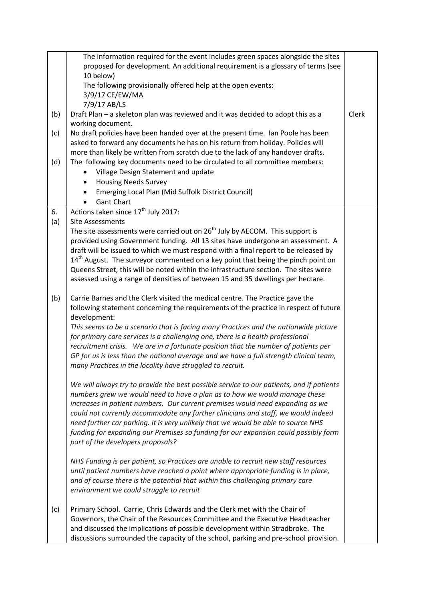|     | The information required for the event includes green spaces alongside the sites                                                                                                    |       |
|-----|-------------------------------------------------------------------------------------------------------------------------------------------------------------------------------------|-------|
|     | proposed for development. An additional requirement is a glossary of terms (see                                                                                                     |       |
|     | 10 below)                                                                                                                                                                           |       |
|     | The following provisionally offered help at the open events:                                                                                                                        |       |
|     | 3/9/17 CE/EW/MA                                                                                                                                                                     |       |
|     | 7/9/17 AB/LS                                                                                                                                                                        |       |
| (b) | Draft Plan - a skeleton plan was reviewed and it was decided to adopt this as a                                                                                                     | Clerk |
|     | working document.                                                                                                                                                                   |       |
| (c) | No draft policies have been handed over at the present time. Ian Poole has been                                                                                                     |       |
|     | asked to forward any documents he has on his return from holiday. Policies will                                                                                                     |       |
|     | more than likely be written from scratch due to the lack of any handover drafts.                                                                                                    |       |
| (d) | The following key documents need to be circulated to all committee members:                                                                                                         |       |
|     | Village Design Statement and update                                                                                                                                                 |       |
|     | <b>Housing Needs Survey</b>                                                                                                                                                         |       |
|     | Emerging Local Plan (Mid Suffolk District Council)                                                                                                                                  |       |
|     | <b>Gant Chart</b>                                                                                                                                                                   |       |
| 6.  | Actions taken since 17 <sup>th</sup> July 2017:                                                                                                                                     |       |
| (a) | <b>Site Assessments</b>                                                                                                                                                             |       |
|     | The site assessments were carried out on 26 <sup>th</sup> July by AECOM. This support is                                                                                            |       |
|     | provided using Government funding. All 13 sites have undergone an assessment. A                                                                                                     |       |
|     | draft will be issued to which we must respond with a final report to be released by<br>14 <sup>th</sup> August. The surveyor commented on a key point that being the pinch point on |       |
|     | Queens Street, this will be noted within the infrastructure section. The sites were                                                                                                 |       |
|     | assessed using a range of densities of between 15 and 35 dwellings per hectare.                                                                                                     |       |
|     |                                                                                                                                                                                     |       |
| (b) | Carrie Barnes and the Clerk visited the medical centre. The Practice gave the                                                                                                       |       |
|     | following statement concerning the requirements of the practice in respect of future                                                                                                |       |
|     | development:                                                                                                                                                                        |       |
|     | This seems to be a scenario that is facing many Practices and the nationwide picture                                                                                                |       |
|     | for primary care services is a challenging one, there is a health professional                                                                                                      |       |
|     | recruitment crisis. We are in a fortunate position that the number of patients per                                                                                                  |       |
|     | GP for us is less than the national average and we have a full strength clinical team,                                                                                              |       |
|     | many Practices in the locality have struggled to recruit.                                                                                                                           |       |
|     |                                                                                                                                                                                     |       |
|     | We will always try to provide the best possible service to our patients, and if patients                                                                                            |       |
|     | numbers grew we would need to have a plan as to how we would manage these                                                                                                           |       |
|     | increases in patient numbers. Our current premises would need expanding as we                                                                                                       |       |
|     | could not currently accommodate any further clinicians and staff, we would indeed                                                                                                   |       |
|     | need further car parking. It is very unlikely that we would be able to source NHS                                                                                                   |       |
|     | funding for expanding our Premises so funding for our expansion could possibly form                                                                                                 |       |
|     | part of the developers proposals?                                                                                                                                                   |       |
|     |                                                                                                                                                                                     |       |
|     | NHS Funding is per patient, so Practices are unable to recruit new staff resources                                                                                                  |       |
|     | until patient numbers have reached a point where appropriate funding is in place,                                                                                                   |       |
|     | and of course there is the potential that within this challenging primary care                                                                                                      |       |
|     | environment we could struggle to recruit                                                                                                                                            |       |
| (c) | Primary School. Carrie, Chris Edwards and the Clerk met with the Chair of                                                                                                           |       |
|     | Governors, the Chair of the Resources Committee and the Executive Headteacher                                                                                                       |       |
|     | and discussed the implications of possible development within Stradbroke. The                                                                                                       |       |
|     | discussions surrounded the capacity of the school, parking and pre-school provision.                                                                                                |       |
|     |                                                                                                                                                                                     |       |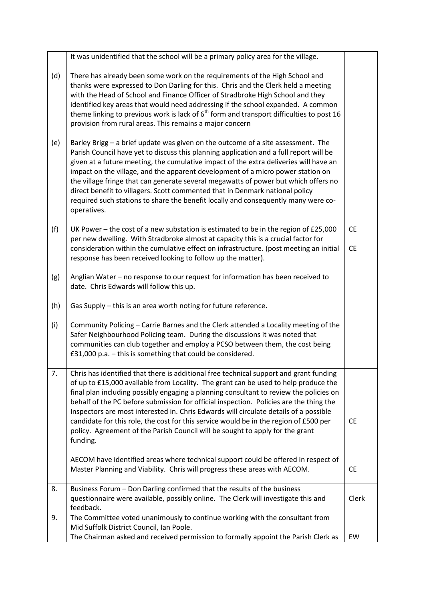|     | It was unidentified that the school will be a primary policy area for the village.                                                                                                                                                                                                                                                                                                                                                                                                                                                                                                                                                               |                        |
|-----|--------------------------------------------------------------------------------------------------------------------------------------------------------------------------------------------------------------------------------------------------------------------------------------------------------------------------------------------------------------------------------------------------------------------------------------------------------------------------------------------------------------------------------------------------------------------------------------------------------------------------------------------------|------------------------|
| (d) | There has already been some work on the requirements of the High School and<br>thanks were expressed to Don Darling for this. Chris and the Clerk held a meeting<br>with the Head of School and Finance Officer of Stradbroke High School and they<br>identified key areas that would need addressing if the school expanded. A common<br>theme linking to previous work is lack of $6th$ form and transport difficulties to post 16<br>provision from rural areas. This remains a major concern                                                                                                                                                 |                        |
| (e) | Barley Brigg - a brief update was given on the outcome of a site assessment. The<br>Parish Council have yet to discuss this planning application and a full report will be<br>given at a future meeting, the cumulative impact of the extra deliveries will have an<br>impact on the village, and the apparent development of a micro power station on<br>the village fringe that can generate several megawatts of power but which offers no<br>direct benefit to villagers. Scott commented that in Denmark national policy<br>required such stations to share the benefit locally and consequently many were co-<br>operatives.               |                        |
| (f) | UK Power – the cost of a new substation is estimated to be in the region of $£25,000$<br>per new dwelling. With Stradbroke almost at capacity this is a crucial factor for<br>consideration within the cumulative effect on infrastructure. (post meeting an initial<br>response has been received looking to follow up the matter).                                                                                                                                                                                                                                                                                                             | <b>CE</b><br><b>CE</b> |
| (g) | Anglian Water - no response to our request for information has been received to<br>date. Chris Edwards will follow this up.                                                                                                                                                                                                                                                                                                                                                                                                                                                                                                                      |                        |
| (h) | Gas Supply - this is an area worth noting for future reference.                                                                                                                                                                                                                                                                                                                                                                                                                                                                                                                                                                                  |                        |
| (i) | Community Policing - Carrie Barnes and the Clerk attended a Locality meeting of the<br>Safer Neighbourhood Policing team. During the discussions it was noted that<br>communities can club together and employ a PCSO between them, the cost being<br>£31,000 p.a. - this is something that could be considered.                                                                                                                                                                                                                                                                                                                                 |                        |
| 7.  | Chris has identified that there is additional free technical support and grant funding<br>of up to £15,000 available from Locality. The grant can be used to help produce the<br>final plan including possibly engaging a planning consultant to review the policies on<br>behalf of the PC before submission for official inspection. Policies are the thing the<br>Inspectors are most interested in. Chris Edwards will circulate details of a possible<br>candidate for this role, the cost for this service would be in the region of £500 per<br>policy. Agreement of the Parish Council will be sought to apply for the grant<br>funding. | <b>CE</b>              |
|     | AECOM have identified areas where technical support could be offered in respect of<br>Master Planning and Viability. Chris will progress these areas with AECOM.                                                                                                                                                                                                                                                                                                                                                                                                                                                                                 | <b>CE</b>              |
| 8.  | Business Forum - Don Darling confirmed that the results of the business<br>questionnaire were available, possibly online. The Clerk will investigate this and<br>feedback.                                                                                                                                                                                                                                                                                                                                                                                                                                                                       | Clerk                  |
| 9.  | The Committee voted unanimously to continue working with the consultant from<br>Mid Suffolk District Council, Ian Poole.                                                                                                                                                                                                                                                                                                                                                                                                                                                                                                                         |                        |
|     | The Chairman asked and received permission to formally appoint the Parish Clerk as                                                                                                                                                                                                                                                                                                                                                                                                                                                                                                                                                               | EW                     |